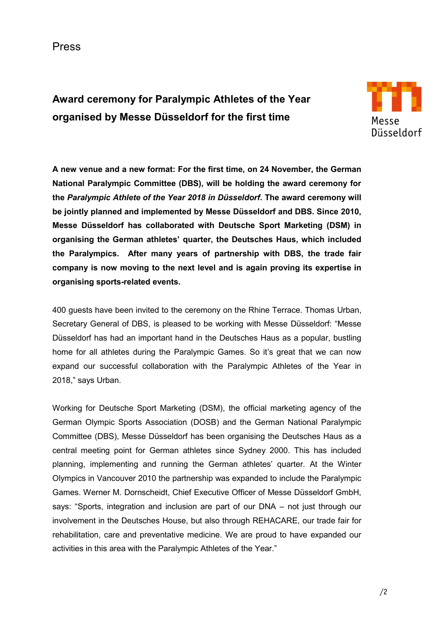Press

**Award ceremony for Paralympic Athletes of the Year organised by Messe Düsseldorf for the first time**



**A new venue and a new format: For the first time, on 24 November, the German National Paralympic Committee (DBS), will be holding the award ceremony for the** *Paralympic Athlete of the Year 2018 in Düsseldorf***. The award ceremony will be jointly planned and implemented by Messe Düsseldorf and DBS. Since 2010, Messe Düsseldorf has collaborated with Deutsche Sport Marketing (DSM) in organising the German athletes' quarter, the Deutsches Haus, which included the Paralympics. After many years of partnership with DBS, the trade fair company is now moving to the next level and is again proving its expertise in organising sports-related events.** 

400 guests have been invited to the ceremony on the Rhine Terrace. Thomas Urban, Secretary General of DBS, is pleased to be working with Messe Düsseldorf: "Messe Düsseldorf has had an important hand in the Deutsches Haus as a popular, bustling home for all athletes during the Paralympic Games. So it's great that we can now expand our successful collaboration with the Paralympic Athletes of the Year in 2018," says Urban.

Working for Deutsche Sport Marketing (DSM), the official marketing agency of the German Olympic Sports Association (DOSB) and the German National Paralympic Committee (DBS), Messe Düsseldorf has been organising the Deutsches Haus as a central meeting point for German athletes since Sydney 2000. This has included planning, implementing and running the German athletes' quarter. At the Winter Olympics in Vancouver 2010 the partnership was expanded to include the Paralympic Games. Werner M. Dornscheidt, Chief Executive Officer of Messe Düsseldorf GmbH, says: "Sports, integration and inclusion are part of our DNA – not just through our involvement in the Deutsches House, but also through REHACARE, our trade fair for rehabilitation, care and preventative medicine. We are proud to have expanded our activities in this area with the Paralympic Athletes of the Year."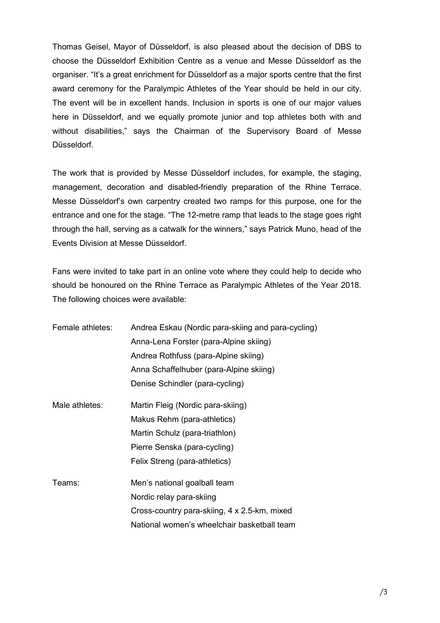Thomas Geisel, Mayor of Düsseldorf, is also pleased about the decision of DBS to choose the Düsseldorf Exhibition Centre as a venue and Messe Düsseldorf as the organiser. "It's a great enrichment for Düsseldorf as a major sports centre that the first award ceremony for the Paralympic Athletes of the Year should be held in our city. The event will be in excellent hands. Inclusion in sports is one of our major values here in Düsseldorf, and we equally promote junior and top athletes both with and without disabilities," says the Chairman of the Supervisory Board of Messe Düsseldorf.

The work that is provided by Messe Düsseldorf includes, for example, the staging, management, decoration and disabled-friendly preparation of the Rhine Terrace. Messe Düsseldorf's own carpentry created two ramps for this purpose, one for the entrance and one for the stage. "The 12-metre ramp that leads to the stage goes right through the hall, serving as a catwalk for the winners," says Patrick Muno, head of the Events Division at Messe Düsseldorf.

Fans were invited to take part in an online vote where they could help to decide who should be honoured on the Rhine Terrace as Paralympic Athletes of the Year 2018. The following choices were available:

| Female athletes: | Andrea Eskau (Nordic para-skiing and para-cycling) |
|------------------|----------------------------------------------------|
|                  | Anna-Lena Forster (para-Alpine skiing)             |
|                  | Andrea Rothfuss (para-Alpine skiing)               |
|                  | Anna Schaffelhuber (para-Alpine skiing)            |
|                  | Denise Schindler (para-cycling)                    |
| Male athletes:   | Martin Fleig (Nordic para-skiing)                  |
|                  | Makus Rehm (para-athletics)                        |
|                  | Martin Schulz (para-triathlon)                     |
|                  | Pierre Senska (para-cycling)                       |
|                  | Felix Streng (para-athletics)                      |
| Teams:           | Men's national goalball team                       |
|                  | Nordic relay para-skiing                           |
|                  | Cross-country para-skiing, 4 x 2.5-km, mixed       |
|                  | National women's wheelchair basketball team        |
|                  |                                                    |